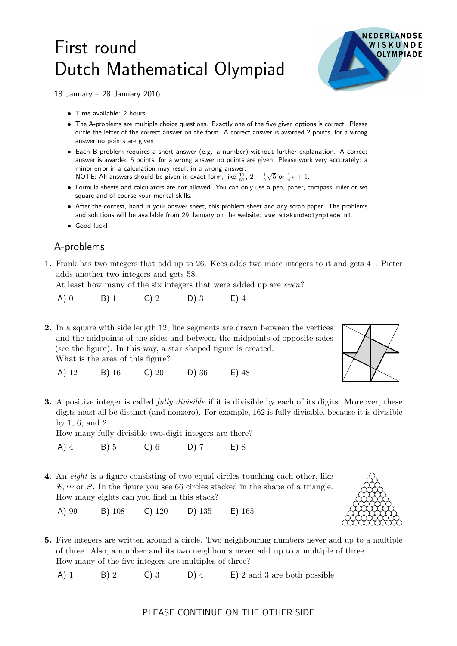## First round Dutch Mathematical Olympiad



18 January – 28 January 2016

- Time available: 2 hours.
- The A-problems are multiple choice questions. Exactly one of the five given options is correct. Please circle the letter of the correct answer on the form. A correct answer is awarded 2 points, for a wrong answer no points are given.
- Each B-problem requires a short answer (e.g. a number) without further explanation. A correct answer is awarded 5 points, for a wrong answer no points are given. Please work very accurately: a minor error in a calculation may result in a wrong answer. NOTE: All answers should be given in exact form, like  $\frac{11}{81}$ ,  $2+\frac{1}{2}$  $\sqrt{5}$  or  $\frac{1}{4}\pi + 1$ .
- Formula sheets and calculators are not allowed. You can only use a pen, paper, compass, ruler or set square and of course your mental skills.
- After the contest, hand in your answer sheet, this problem sheet and any scrap paper. The problems and solutions will be available from 29 January on the website: www.wiskundeolympiade.nl.
- Good luck!

## A-problems

1. Frank has two integers that add up to 26. Kees adds two more integers to it and gets 41. Pieter adds another two integers and gets 58.

At least how many of the six integers that were added up are *even*?

A) 0 B) 1 C) 2 D) 3 E) 4

2. In a square with side length 12, line segments are drawn between the vertices and the midpoints of the sides and between the midpoints of opposite sides (see the figure). In this way, a star shaped figure is created. What is the area of this figure?



- A) 12 B) 16 C) 20 D) 36 E) 48
- **3.** A positive integer is called *fully divisible* if it is divisible by each of its digits. Moreover, these digits must all be distinct (and nonzero). For example, 162 is fully divisible, because it is divisible by 1, 6, and 2.

How many fully divisible two-digit integers are there?

A) 4 B) 5 C) 6 D) 7 E) 8

4. An eight is a figure consisting of two equal circles touching each other, like  $\delta$ ,  $\infty$  or  $\delta$ . In the figure you see 66 circles stacked in the shape of a triangle. How many eights can you find in this stack?

A) 99 B) 108 C) 120 D) 135 E) 165

5. Five integers are written around a circle. Two neighbouring numbers never add up to a multiple of three. Also, a number and its two neighbours never add up to a multiple of three. How many of the five integers are multiples of three?

A) 1 B) 2 C) 3 D) 4 E) 2 and 3 are both possible